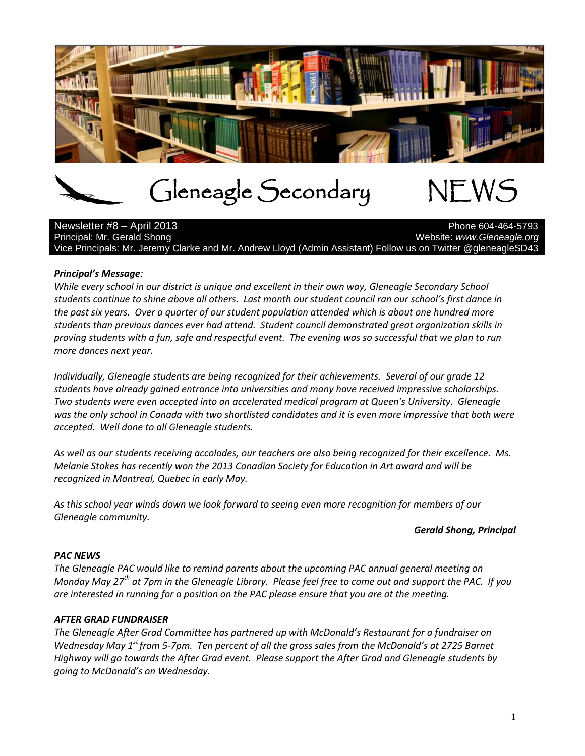

# Gleneagle Secondary NEWS

Newsletter #8 – April 2013 Principal: Mr. Gerald Shong Website: *www.Gleneagle.org* Website: *www.Gleneagle.org* Vice Principals: Mr. Jeremy Clarke and Mr. Andrew Lloyd (Admin Assistant) Follow us on Twitter @gleneagleSD43

# *Principal's Message:*

*While every school in our district is unique and excellent in their own way, Gleneagle Secondary School students continue to shine above all others. Last month our student council ran our school's first dance in the past six years. Over a quarter of our student population attended which is about one hundred more students than previous dances ever had attend. Student council demonstrated great organization skills in proving students with a fun, safe and respectful event. The evening was so successful that we plan to run more dances next year.* 

*Individually, Gleneagle students are being recognized for their achievements. Several of our grade 12 students have already gained entrance into universities and many have received impressive scholarships. Two students were even accepted into an accelerated medical program at Queen's University. Gleneagle was the only school in Canada with two shortlisted candidates and it is even more impressive that both were accepted. Well done to all Gleneagle students.* 

*As well as our students receiving accolades, our teachers are also being recognized for their excellence. Ms. Melanie Stokes has recently won the 2013 Canadian Society for Education in Art award and will be recognized in Montreal, Quebec in early May.* 

*As this school year winds down we look forward to seeing even more recognition for members of our Gleneagle community.* 

### *Gerald Shong, Principal*

### *PAC NEWS*

*The Gleneagle PAC would like to remind parents about the upcoming PAC annual general meeting on Monday May 27th at 7pm in the Gleneagle Library. Please feel free to come out and support the PAC. If you are interested in running for a position on the PAC please ensure that you are at the meeting.*

### *AFTER GRAD FUNDRAISER*

*The Gleneagle After Grad Committee has partnered up with McDonald's Restaurant for a fundraiser on Wednesday May 1st from 5-7pm. Ten percent of all the gross sales from the McDonald's at 2725 Barnet Highway will go towards the After Grad event. Please support the After Grad and Gleneagle students by going to McDonald's on Wednesday.*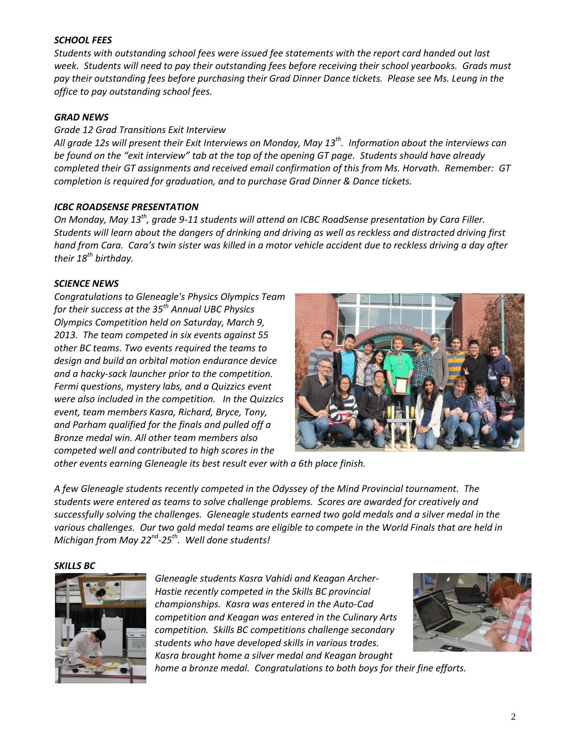### *SCHOOL FEES*

*Students with outstanding school fees were issued fee statements with the report card handed out last week. Students will need to pay their outstanding fees before receiving their school yearbooks. Grads must pay their outstanding fees before purchasing their Grad Dinner Dance tickets. Please see Ms. Leung in the office to pay outstanding school fees.*

# *GRAD NEWS*

### *Grade 12 Grad Transitions Exit Interview*

*All grade 12s will present their Exit Interviews on Monday, May 13th . Information about the interviews can be found on the "exit interview" tab at the top of the opening GT page. Students should have already completed their GT assignments and received email confirmation of this from Ms. Horvath. Remember: GT completion is required for graduation, and to purchase Grad Dinner & Dance tickets.*

# *ICBC ROADSENSE PRESENTATION*

*On Monday, May 13th, grade 9-11 students will attend an ICBC RoadSense presentation by Cara Filler. Students will learn about the dangers of drinking and driving as well as reckless and distracted driving first hand from Cara. Cara's twin sister was killed in a motor vehicle accident due to reckless driving a day after their 18th birthday.*

# *SCIENCE NEWS*

*Congratulations to Gleneagle's Physics Olympics Team for their success at the 35th Annual UBC Physics Olympics Competition held on Saturday, March 9, 2013. The team competed in six events against 55 other BC teams. Two events required the teams to design and build an orbital motion endurance device and a hacky-sack launcher prior to the competition. Fermi questions, mystery labs, and a Quizzics event were also included in the competition. In the Quizzics event, team members Kasra, Richard, Bryce, Tony, and Parham qualified for the finals and pulled off a Bronze medal win. All other team members also competed well and contributed to high scores in the* 



*other events earning Gleneagle its best result ever with a 6th place finish.* 

*A few Gleneagle students recently competed in the Odyssey of the Mind Provincial tournament. The students were entered as teams to solve challenge problems. Scores are awarded for creatively and successfully solving the challenges. Gleneagle students earned two gold medals and a silver medal in the various challenges. Our two gold medal teams are eligible to compete in the World Finals that are held in Michigan from May 22nd -25th. Well done students!*

#### *SKILLS BC*



*Gleneagle students Kasra Vahidi and Keagan Archer-Hastie recently competed in the Skills BC provincial championships. Kasra was entered in the Auto-Cad competition and Keagan was entered in the Culinary Arts competition. Skills BC competitions challenge secondary students who have developed skills in various trades. Kasra brought home a silver medal and Keagan brought* 



*home a bronze medal. Congratulations to both boys for their fine efforts.*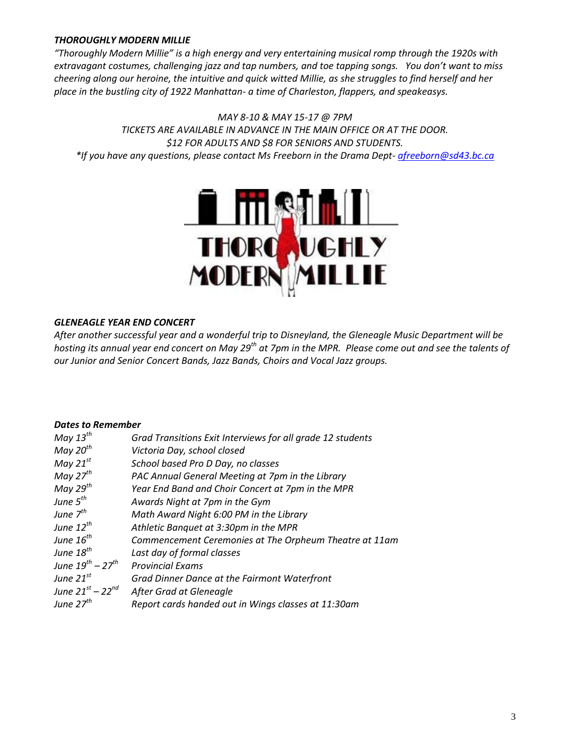# *THOROUGHLY MODERN MILLIE*

*"Thoroughly Modern Millie" is a high energy and very entertaining musical romp through the 1920s with extravagant costumes, challenging jazz and tap numbers, and toe tapping songs. You don't want to miss cheering along our heroine, the intuitive and quick witted Millie, as she struggles to find herself and her place in the bustling city of 1922 Manhattan- a time of Charleston, flappers, and speakeasys.*

*MAY 8-10 & MAY 15-17 @ 7PM TICKETS ARE AVAILABLE IN ADVANCE IN THE MAIN OFFICE OR AT THE DOOR. \$12 FOR ADULTS AND \$8 FOR SENIORS AND STUDENTS. \*If you have any questions, please contact Ms Freeborn in the Drama Dept- [afreeborn@sd43.bc.ca](mailto:afreeborn@sd43.bc.ca)*



# *GLENEAGLE YEAR END CONCERT*

*After another successful year and a wonderful trip to Disneyland, the Gleneagle Music Department will be hosting its annual year end concert on May 29th at 7pm in the MPR. Please come out and see the talents of our Junior and Senior Concert Bands, Jazz Bands, Choirs and Vocal Jazz groups.*

### *Dates to Remember*

| May $13^{th}$            | Grad Transitions Exit Interviews for all grade 12 students |
|--------------------------|------------------------------------------------------------|
| May $20^{th}$            | Victoria Day, school closed                                |
| May $21^{st}$            | School based Pro D Day, no classes                         |
| May $27^{th}$            | PAC Annual General Meeting at 7pm in the Library           |
| May $29^{th}$            | Year End Band and Choir Concert at 7pm in the MPR          |
| June $5^{th}$            | Awards Night at 7pm in the Gym                             |
| June $7^{th}$            | Math Award Night 6:00 PM in the Library                    |
| June $12^{th}$           | Athletic Banquet at 3:30pm in the MPR                      |
| June $16^{th}$           | Commencement Ceremonies at The Orpheum Theatre at 11am     |
| June $18^{th}$           | Last day of formal classes                                 |
| June $19^{th} - 27^{th}$ | <b>Provincial Exams</b>                                    |
| June $21^{st}$           | Grad Dinner Dance at the Fairmont Waterfront               |
| June $21^{st} - 22^{nd}$ | After Grad at Gleneagle                                    |
| June $27th$              | Report cards handed out in Wings classes at 11:30am        |